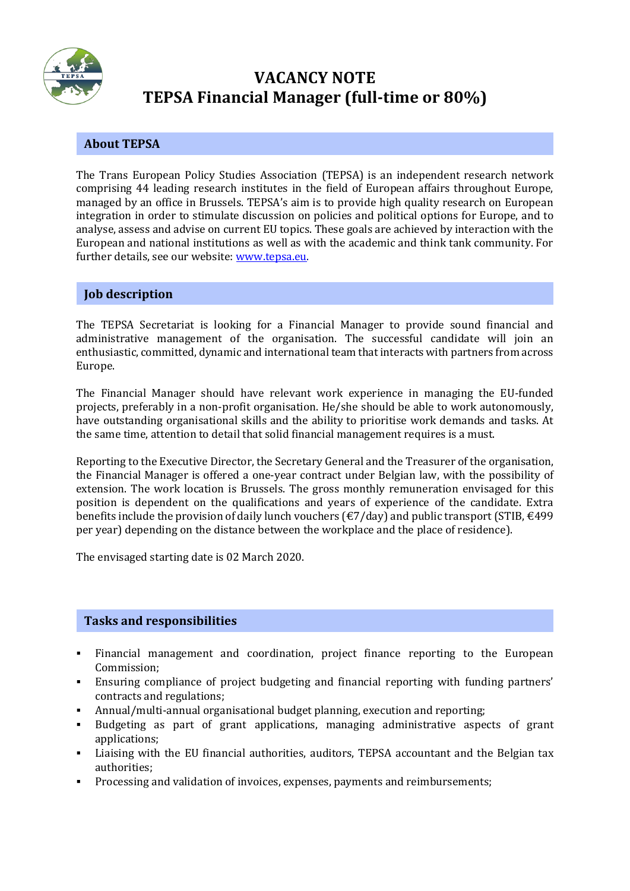

# **VACANCY NOTE TEPSA Financial Manager (full-time or 80%)**

## **About TEPSA**

The Trans European Policy Studies Association (TEPSA) is an independent research network comprising 44 leading research institutes in the field of European affairs throughout Europe, managed by an office in Brussels. TEPSA's aim is to provide high quality research on European integration in order to stimulate discussion on policies and political options for Europe, and to analyse, assess and advise on current EU topics. These goals are achieved by interaction with the European and national institutions as well as with the academic and think tank community. For further details, see our website: [www.tepsa.eu.](file:///C:/Users/Yvonne%20Nasshoven/Desktop/www.tepsa.eu)

## **Job description**

The TEPSA Secretariat is looking for a Financial Manager to provide sound financial and administrative management of the organisation. The successful candidate will join an enthusiastic, committed, dynamic and international team that interacts with partners from across Europe.

The Financial Manager should have relevant work experience in managing the EU-funded projects, preferably in a non-profit organisation. He/she should be able to work autonomously, have outstanding organisational skills and the ability to prioritise work demands and tasks. At the same time, attention to detail that solid financial management requires is a must.

Reporting to the Executive Director, the Secretary General and the Treasurer of the organisation, the Financial Manager is offered a one-year contract under Belgian law, with the possibility of extension. The work location is Brussels. The gross monthly remuneration envisaged for this position is dependent on the qualifications and years of experience of the candidate. Extra benefits include the provision of daily lunch vouchers ( $\epsilon/$ ) day) and public transport (STIB,  $\epsilon$ 499 per year) depending on the distance between the workplace and the place of residence).

The envisaged starting date is 02 March 2020.

## **Tasks and responsibilities**

- Financial management and coordination, project finance reporting to the European Commission;
- Ensuring compliance of project budgeting and financial reporting with funding partners' contracts and regulations;
- Annual/multi-annual organisational budget planning, execution and reporting;
- Budgeting as part of grant applications, managing administrative aspects of grant applications;
- Liaising with the EU financial authorities, auditors, TEPSA accountant and the Belgian tax authorities;
- Processing and validation of invoices, expenses, payments and reimbursements;